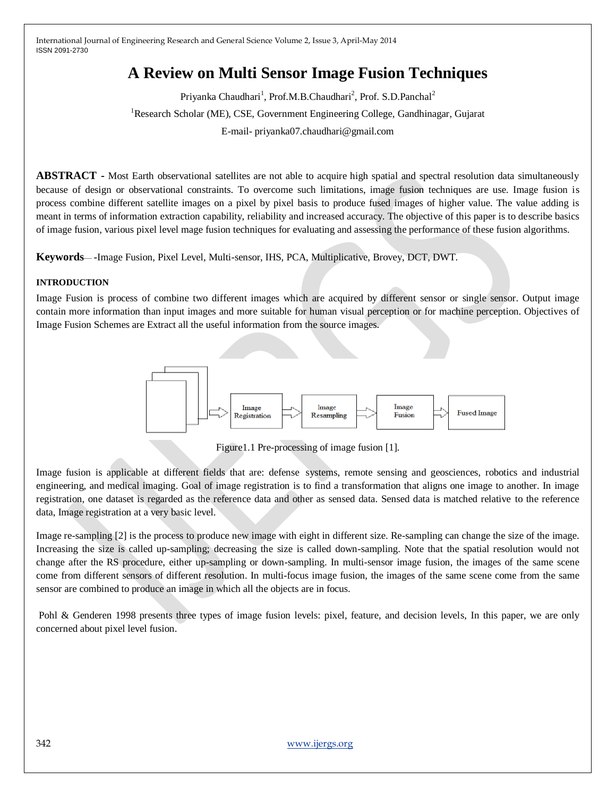# **A Review on Multi Sensor Image Fusion Techniques**

Priyanka Chaudhari<sup>1</sup>, Prof.M.B.Chaudhari<sup>2</sup>, Prof. S.D.Panchal<sup>2</sup> <sup>1</sup>Research Scholar (ME), CSE, Government Engineering College, Gandhinagar, Gujarat E-mail- priyanka07.chaudhari@gmail.com

**ABSTRACT -** Most Earth observational satellites are not able to acquire high spatial and spectral resolution data simultaneously because of design or observational constraints. To overcome such limitations, image fusion techniques are use. Image fusion is process combine different satellite images on a pixel by pixel basis to produce fused images of higher value. The value adding is meant in terms of information extraction capability, reliability and increased accuracy. The objective of this paper is to describe basics of image fusion, various pixel level mage fusion techniques for evaluating and assessing the performance of these fusion algorithms.

**Keywords**— *-*Image Fusion, Pixel Level, Multi-sensor, IHS, PCA, Multiplicative, Brovey, DCT, DWT.

#### **INTRODUCTION**

Image Fusion is process of combine two different images which are acquired by different sensor or single sensor. Output image contain more information than input images and more suitable for human visual perception or for machine perception. Objectives of Image Fusion Schemes are Extract all the useful information from the source images.



Figure1.1 Pre-processing of image fusion [1].

Image fusion is applicable at different fields that are: defense systems, remote sensing and geosciences, robotics and industrial engineering, and medical imaging. Goal of image registration is to find a transformation that aligns one image to another. In image registration, one dataset is regarded as the reference data and other as sensed data. Sensed data is matched relative to the reference data, Image registration at a very basic level.

Image re-sampling [2] is the process to produce new image with eight in different size. Re-sampling can change the size of the image. Increasing the size is called up-sampling; decreasing the size is called down-sampling. Note that the spatial resolution would not change after the RS procedure, either up-sampling or down-sampling. In multi-sensor image fusion, the images of the same scene come from different sensors of different resolution. In multi-focus image fusion, the images of the same scene come from the same sensor are combined to produce an image in which all the objects are in focus.

Pohl & Genderen 1998 presents three types of image fusion levels: pixel, feature, and decision levels, In this paper, we are only concerned about pixel level fusion.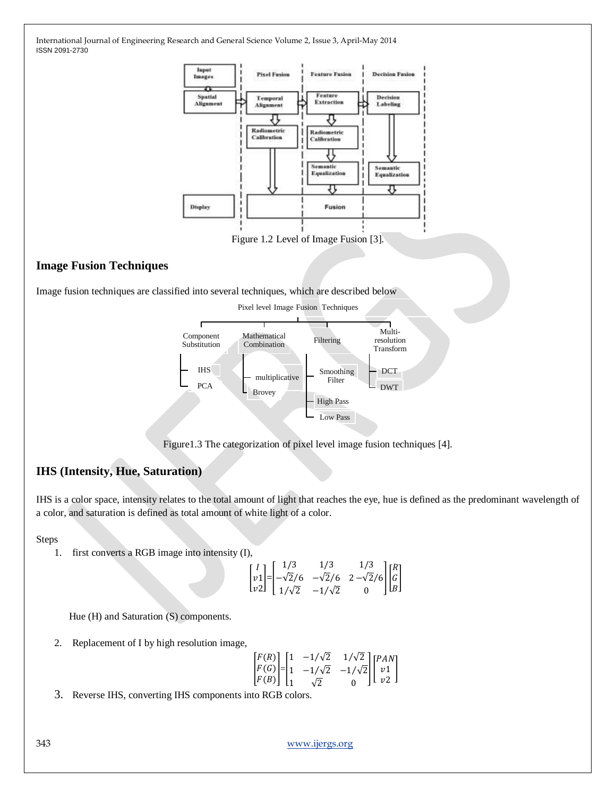

Figure 1.2 Level of Image Fusion [3].

#### **Image Fusion Techniques**

Image fusion techniques are classified into several techniques, which are described below



Figure1.3 The categorization of pixel level image fusion techniques [4].

### **IHS (Intensity, Hue, Saturation)**

IHS is a color space, intensity relates to the total amount of light that reaches the eye, hue is defined as the predominant wavelength of a color, and saturation is defined as total amount of white light of a color.

Steps

1. first converts a RGB image into intensity (I),

$$
\begin{bmatrix} I \\ v1 \\ v2 \end{bmatrix} = \begin{bmatrix} 1/3 & 1/3 & 1/3 \\ -\sqrt{2}/6 & -\sqrt{2}/6 & 2 - \sqrt{2}/6 \\ 1/\sqrt{2} & -1/\sqrt{2} & 0 \end{bmatrix} \begin{bmatrix} R \\ G \\ B \end{bmatrix}
$$

Hue (H) and Saturation (S) components.

2. Replacement of I by high resolution image,

$$
\begin{bmatrix} F(R) \\ F(G) \\ F(B) \end{bmatrix} = \begin{bmatrix} 1 & -1/\sqrt{2} & 1/\sqrt{2} \\ 1 & -1/\sqrt{2} & -1/\sqrt{2} \\ 1 & \sqrt{2} & 0 \end{bmatrix} \begin{bmatrix} PAN \\ v1 \\ v2 \end{bmatrix}
$$

3. Reverse IHS, converting IHS components into RGB colors.

343 [www.ijergs.org](http://www.ijergs.org/)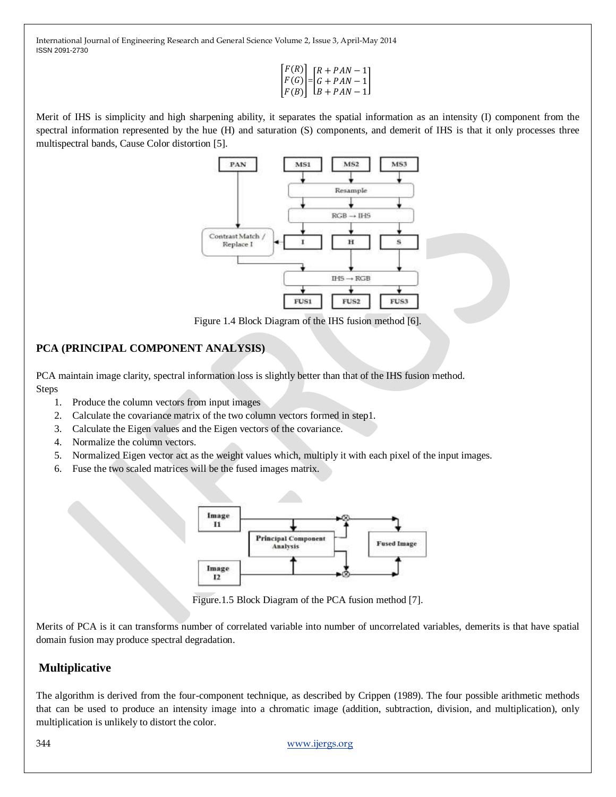$$
\begin{bmatrix} F(R) \\ F(G) \\ F(B) \end{bmatrix} = \begin{bmatrix} R+PAN-1 \\ G+PAN-1 \\ B+PAN-1 \end{bmatrix}
$$

Merit of IHS is simplicity and high sharpening ability, it separates the spatial information as an intensity (I) component from the spectral information represented by the hue (H) and saturation (S) components, and demerit of IHS is that it only processes three multispectral bands, Cause Color distortion [5].



Figure 1.4 Block Diagram of the IHS fusion method [6].

## **PCA (PRINCIPAL COMPONENT ANALYSIS)**

PCA maintain image clarity, spectral information loss is slightly better than that of the IHS fusion method. Steps

- 1. Produce the column vectors from input images
- 2. Calculate the covariance matrix of the two column vectors formed in step1.
- 3. Calculate the Eigen values and the Eigen vectors of the covariance.
- 4. Normalize the column vectors.
- 5. Normalized Eigen vector act as the weight values which, multiply it with each pixel of the input images.
- 6. Fuse the two scaled matrices will be the fused images matrix.



Figure.1.5 Block Diagram of the PCA fusion method [7].

Merits of PCA is it can transforms number of correlated variable into number of uncorrelated variables, demerits is that have spatial domain fusion may produce spectral degradation.

# **Multiplicative**

The algorithm is derived from the four-component technique, as described by Crippen (1989). The four possible arithmetic methods that can be used to produce an intensity image into a chromatic image (addition, subtraction, division, and multiplication), only multiplication is unlikely to distort the color.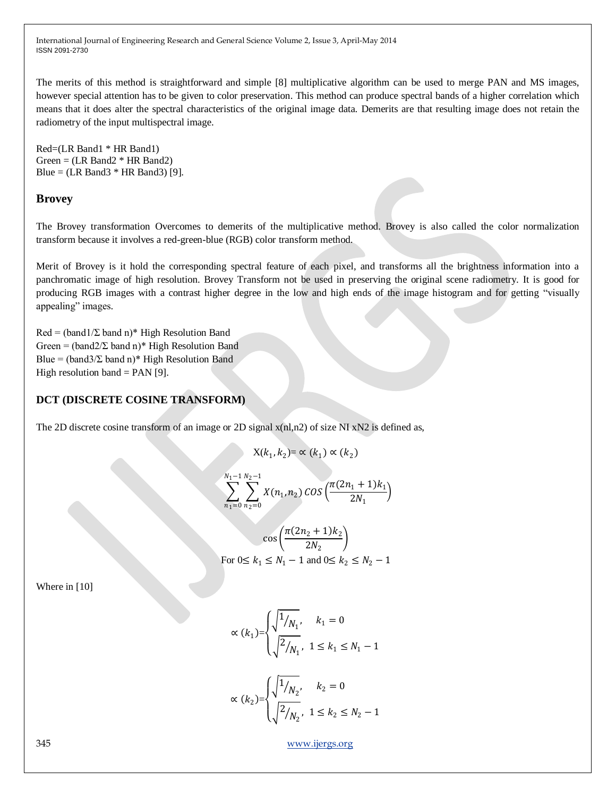The merits of this method is straightforward and simple [8] multiplicative algorithm can be used to merge PAN and MS images, however special attention has to be given to color preservation. This method can produce spectral bands of a higher correlation which means that it does alter the spectral characteristics of the original image data. Demerits are that resulting image does not retain the radiometry of the input multispectral image.

Red=(LR Band1 \* HR Band1)  $Green = (LR Band2 * HR Band2)$ Blue =  $(LR$  Band $3$  \* HR Band $3$ ) [9].

#### **Brovey**

The Brovey transformation Overcomes to demerits of the multiplicative method. Brovey is also called the color normalization transform because it involves a red-green-blue (RGB) color transform method.

Merit of Brovey is it hold the corresponding spectral feature of each pixel, and transforms all the brightness information into a panchromatic image of high resolution. Brovey Transform not be used in preserving the original scene radiometry. It is good for producing RGB images with a contrast higher degree in the low and high ends of the image histogram and for getting "visually appealing" images.

 $Red = (band1/\Sigma band n)^*$  High Resolution Band Green =  $(band2/\Sigma band n)*$  High Resolution Band Blue =  $(band3/\Sigma band n)*$  High Resolution Band High resolution band  $=$  PAN [9].

#### **DCT (DISCRETE COSINE TRANSFORM)**

The 2D discrete cosine transform of an image or 2D signal  $x(n, n^2)$  of size NI  $xN2$  is defined as,

$$
X(k_1, k_2) = \propto (k_1) \propto (k_2)
$$

$$
\sum_{n_1=0}^{N_1-1} \sum_{n_2=0}^{N_2-1} X(n_1, n_2) \cos\left(\frac{\pi (2n_1+1)k_1}{2N_1}\right)
$$

$$
\cos\left(\frac{\pi(2n_2+1)k_2}{2N_2}\right)
$$
  
For  $0 \le k_1 \le N_1 - 1$  and  $0 \le k_2 \le N_2 - 1$ 

Where in [10]

$$
\propto (k_1) = \begin{cases} \sqrt{\frac{1}{N_1}}, & k_1 = 0\\ \sqrt{\frac{2}{N_1}}, & 1 \le k_1 \le N_1 - 1 \end{cases}
$$

$$
\propto (k_2) = \begin{cases} \sqrt{\frac{1}{N_2}}, & k_2 = 0\\ \sqrt{\frac{2}{N_2}}, & 1 \le k_2 \le N_2 - 1 \end{cases}
$$

345 [www.ijergs.org](http://www.ijergs.org/)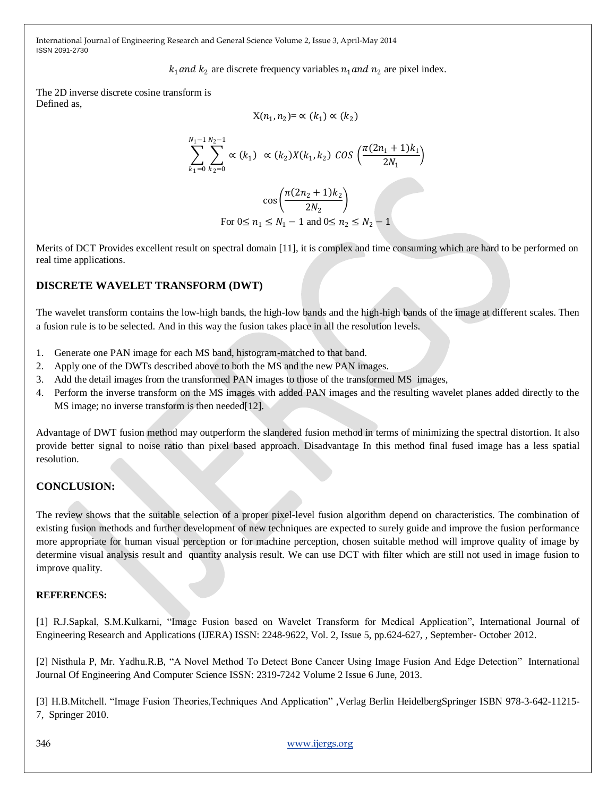$k_1$  and  $k_2$  are discrete frequency variables  $n_1$  and  $n_2$  are pixel index.

The 2D inverse discrete cosine transform is Defined as,

$$
X(n_1, n_2) = \propto (k_1) \propto (k_2)
$$

$$
\sum_{k_1=0}^{N_1-1} \sum_{k_2=0}^{N_2-1} \propto (k_1) \propto (k_2) X(k_1, k_2) \cos \left( \frac{\pi (2n_1+1)k_1}{2N_1} \right)
$$

$$
\cos\left(\frac{\pi(2n_2+1)k_2}{2N_2}\right)
$$
  
For  $0 \le n_1 \le N_1 - 1$  and  $0 \le n_2 \le N_2 - 1$ 

Merits of DCT Provides excellent result on spectral domain [11], it is complex and time consuming which are hard to be performed on real time applications.

#### **DISCRETE WAVELET TRANSFORM (DWT)**

The wavelet transform contains the low-high bands, the high-low bands and the high-high bands of the image at different scales. Then a fusion rule is to be selected. And in this way the fusion takes place in all the resolution levels.

- 1. Generate one PAN image for each MS band, histogram-matched to that band.
- 2. Apply one of the DWTs described above to both the MS and the new PAN images.
- 3. Add the detail images from the transformed PAN images to those of the transformed MS images,
- 4. Perform the inverse transform on the MS images with added PAN images and the resulting wavelet planes added directly to the MS image; no inverse transform is then needed [12].

Advantage of DWT fusion method may outperform the slandered fusion method in terms of minimizing the spectral distortion. It also provide better signal to noise ratio than pixel based approach. Disadvantage In this method final fused image has a less spatial resolution.

#### **CONCLUSION:**

The review shows that the suitable selection of a proper pixel-level fusion algorithm depend on characteristics. The combination of existing fusion methods and further development of new techniques are expected to surely guide and improve the fusion performance more appropriate for human visual perception or for machine perception, chosen suitable method will improve quality of image by determine visual analysis result and quantity analysis result. We can use DCT with filter which are still not used in image fusion to improve quality.

#### **REFERENCES:**

[1] R.J.Sapkal, S.M.Kulkarni, "Image Fusion based on Wavelet Transform for Medical Application", International Journal of Engineering Research and Applications (IJERA) ISSN: 2248-9622, Vol. 2, Issue 5, pp.624-627, , September- October 2012.

[2] Nisthula P, Mr. Yadhu.R.B, "A Novel Method To Detect Bone Cancer Using Image Fusion And Edge Detection" International Journal Of Engineering And Computer Science ISSN: 2319-7242 Volume 2 Issue 6 June, 2013.

[3] H.B.Mitchell. "Image Fusion Theories,Techniques And Application", Verlag Berlin HeidelbergSpringer ISBN 978-3-642-11215-7, Springer 2010.